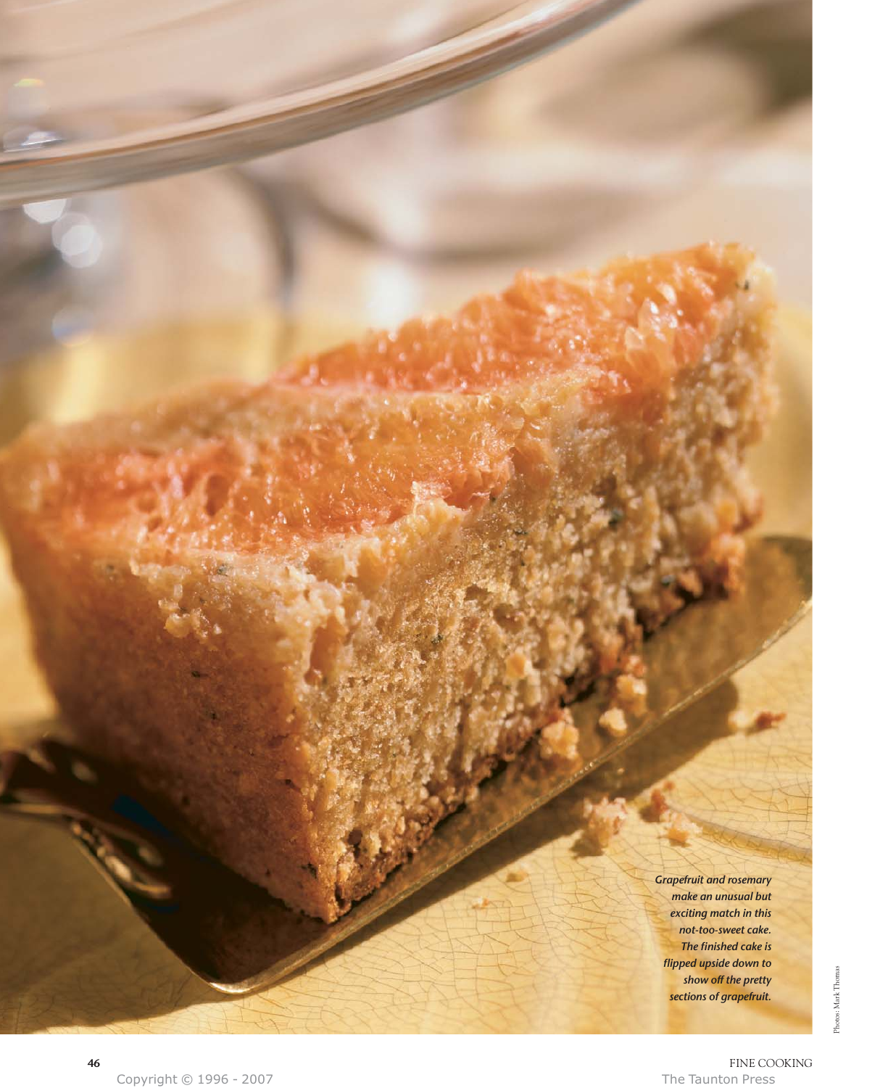*Grapefruit and rosemary make an unusual but exciting match in this not-too-sweet cake. The finished cake is flipped upside down to show off the pretty sections of grapefruit.*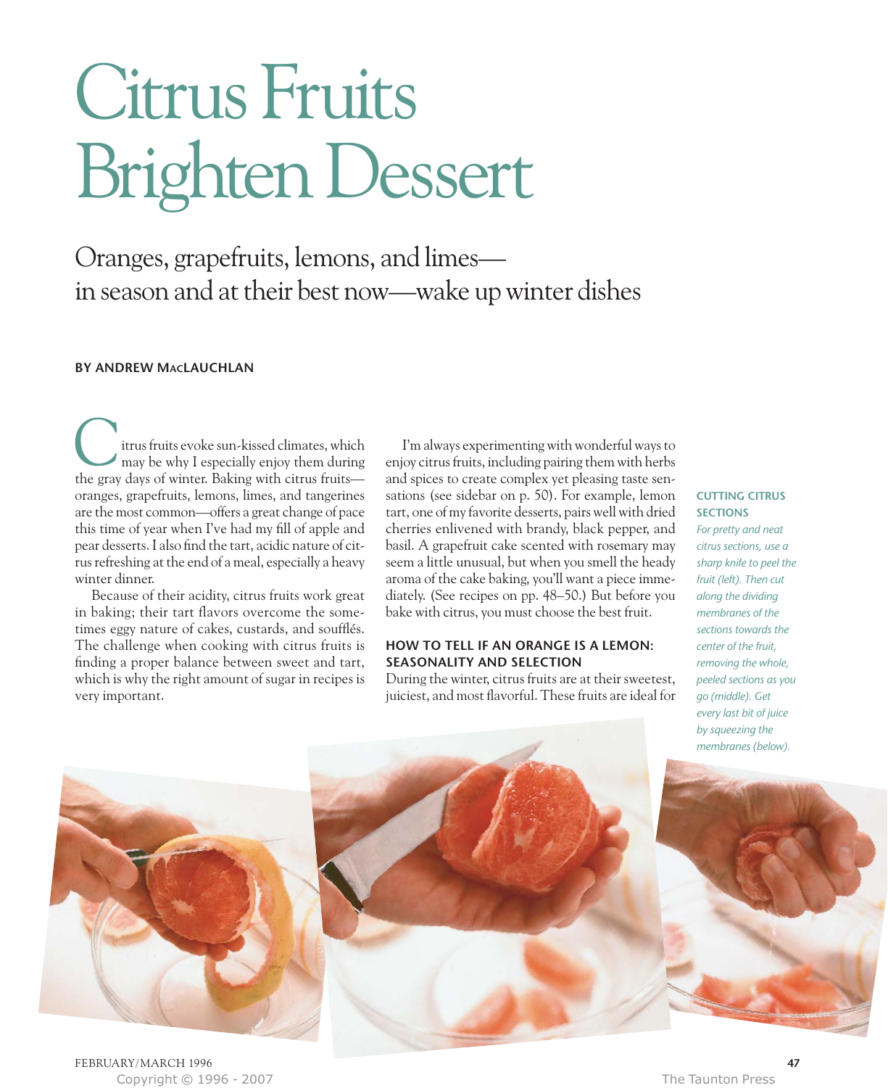# Citrus Fruits Brighten Dessert

Oranges, grapefruits, lemons, and limes in season and at their best now—wake up winter dishes

### **BY ANDREW MACLAUCHLAN**

itrus fruits evoke sun-kissed climates, which may be why I especially enjoy them during **C**<br>trus fruits evoke sun-kissed climates, which<br>may be why I especially enjoy them during<br>the gray days of winter. Baking with citrus fruits oranges, grapefruits, lemons, limes, and tangerines are the most common—offers a great change of pace this time of year when I've had my fill of apple and pear desserts. I also find the tart, acidic nature of citrus refreshing at the end of a meal, especially a heavy winter dinner.

Because of their acidity, citrus fruits work great in baking; their tart flavors overcome the sometimes eggy nature of cakes, custards, and soufflés. The challenge when cooking with citrus fruits is finding a proper balance between sweet and tart, which is why the right amount of sugar in recipes is very important.

I'm always experimenting with wonderful ways to enjoy citrus fruits, including pairing them with herbs and spices to create complex yet pleasing taste sensations (see sidebar on p. 50). For example, lemon tart, one of my favorite desserts, pairs well with dried cherries enlivened with brandy, black pepper, and basil. A grapefruit cake scented with rosemary may seem a little unusual, but when you smell the heady aroma of the cake baking, you'll want a piece immediately. (See recipes on pp. 48–50.) But before you bake with citrus, you must choose the best fruit.

## **HOW TO TELL IF AN ORANGE IS A LEMON: SEASONALITY AND SELECTION**

During the winter, citrus fruits are at their sweetest, juiciest, and most flavorful. These fruits are ideal for

#### **CUTTING CITRUS SECTIONS**

*For pretty and neat citrus sections, use a sharp knife to peel the fruit (left). Then cut along the dividing membranes of the sections towards the center of the fruit, removing the whole, peeled sections as you go (middle). Get every last bit of juice by squeezing the membranes (below).* 



Copyright © 1996 - 2007 The Taunton Press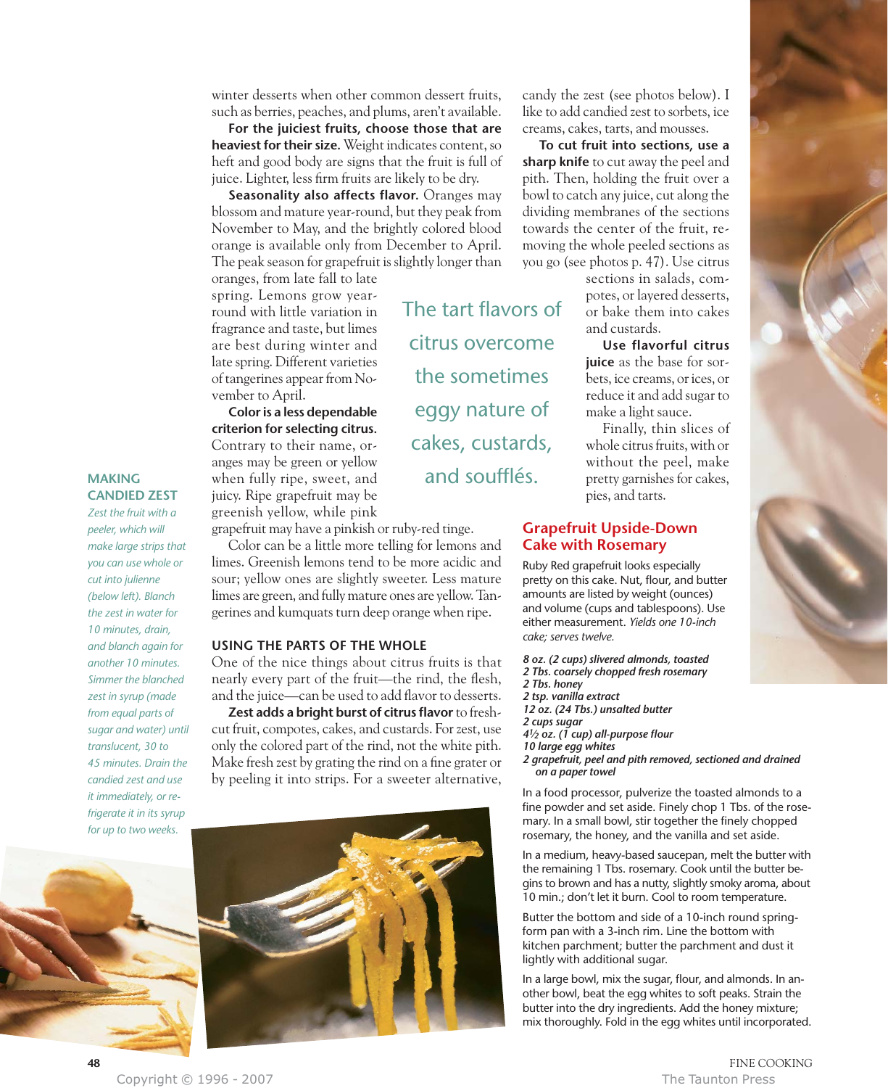winter desserts when other common dessert fruits, such as berries, peaches, and plums, aren't available.

**For the juiciest fruits, choose those that are heaviest for their size.** Weight indicates content, so heft and good body are signs that the fruit is full of juice. Lighter, less firm fruits are likely to be dry.

**Seasonality also affects flavor.** Oranges may blossom and mature year-round, but they peak from November to May, and the brightly colored blood orange is available only from December to April. The peak season for grapefruit is slightly longer than

The tart flavors of

citrus overcome

the sometimes

eggy nature of

cakes, custards,

and soufflés.

oranges, from late fall to late spring. Lemons grow yearround with little variation in fragrance and taste, but limes are best during winter and late spring. Different varieties of tangerines appear from November to April.

**Color is a less dependable criterion for selecting citrus.** Contrary to their name, oranges may be green or yellow when fully ripe, sweet, and juicy. Ripe grapefruit may be greenish yellow, while pink

grapefruit may have a pinkish or ruby-red tinge.

Color can be a little more telling for lemons and limes. Greenish lemons tend to be more acidic and sour; yellow ones are slightly sweeter. Less mature limes are green, and fully mature ones are yellow. Tangerines and kumquats turn deep orange when ripe.

#### **USING THE PARTS OF THE WHOLE**

One of the nice things about citrus fruits is that nearly every part of the fruit—the rind, the flesh, and the juice—can be used to add flavor to desserts.

**Zest adds a bright burst of citrus flavor** to freshcut fruit, compotes, cakes, and custards. For zest, use only the colored part of the rind, not the white pith. Make fresh zest by grating the rind on a fine grater or by peeling it into strips. For a sweeter alternative,



candy the zest (see photos below). I like to add candied zest to sorbets, ice creams, cakes, tarts, and mousses.

**To cut fruit into sections, use a sharp knife** to cut away the peel and pith. Then, holding the fruit over a bowl to catch any juice, cut along the dividing membranes of the sections towards the center of the fruit, removing the whole peeled sections as you go (see photos p. 47). Use citrus

sections in salads, compotes, or layered desserts, or bake them into cakes and custards.

**Use flavorful citrus juice** as the base for sorbets, ice creams, or ices, or reduce it and add sugar to make a light sauce.

Finally, thin slices of whole citrus fruits, with or without the peel, make pretty garnishes for cakes, pies, and tarts.

# **Grapefruit Upside-Down Cake with Rosemary**

Ruby Red grapefruit looks especially pretty on this cake. Nut, flour, and butter amounts are listed by weight (ounces) and volume (cups and tablespoons). Use either measurement. *Yields one 10-inch cake; serves twelve.*

*8 oz. (2 cups) slivered almonds, toasted 2 Tbs. coarsely chopped fresh rosemary 2 Tbs. honey 2 tsp. vanilla extract 12 oz. (24 Tbs.) unsalted butter 2 cups sugar 41⁄2 oz. (1 cup) all-purpose flour 10 large egg whites 2 grapefruit, peel and pith removed, sectioned and drained on a paper towel*

In a food processor, pulverize the toasted almonds to a fine powder and set aside. Finely chop 1 Tbs. of the rosemary. In a small bowl, stir together the finely chopped rosemary, the honey, and the vanilla and set aside.

In a medium, heavy-based saucepan, melt the butter with the remaining 1 Tbs. rosemary. Cook until the butter begins to brown and has a nutty, slightly smoky aroma, about 10 min.; don't let it burn. Cool to room temperature.

Butter the bottom and side of a 10-inch round springform pan with a 3-inch rim. Line the bottom with kitchen parchment; butter the parchment and dust it lightly with additional sugar.

In a large bowl, mix the sugar, flour, and almonds. In another bowl, beat the egg whites to soft peaks. Strain the butter into the dry ingredients. Add the honey mixture; mix thoroughly. Fold in the egg whites until incorporated.



*Zest the fruit with a peeler, which will make large strips that you can use whole or cut into julienne (below left). Blanch the zest in water for 10 minutes, drain, and blanch again for another 10 minutes. Simmer the blanched zest in syrup (made from equal parts of sugar and water) until translucent, 30 to 45 minutes. Drain the candied zest and use it immediately, or refrigerate it in its syrup for up to two weeks.*



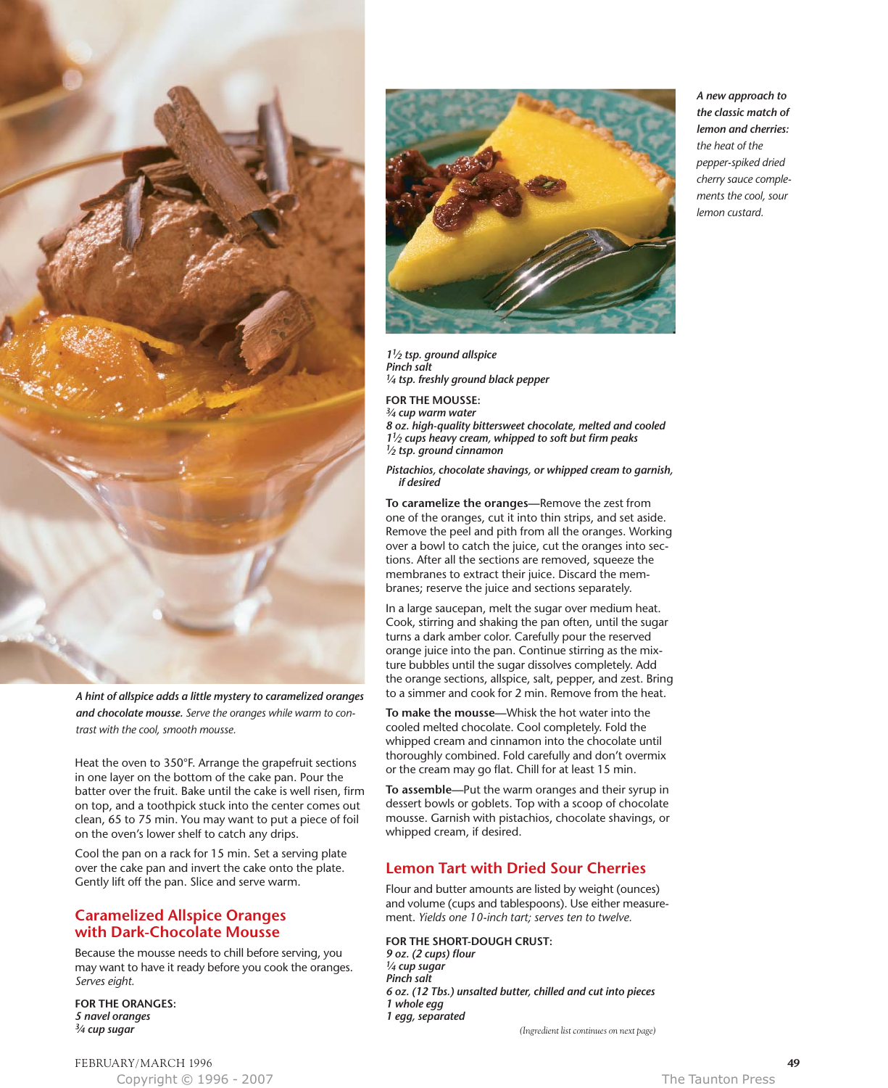

*A hint of allspice adds a little mystery to caramelized oranges and chocolate mousse. Serve the oranges while warm to contrast with the cool, smooth mousse.*

Heat the oven to 350°F. Arrange the grapefruit sections in one layer on the bottom of the cake pan. Pour the batter over the fruit. Bake until the cake is well risen, firm on top, and a toothpick stuck into the center comes out clean, 65 to 75 min. You may want to put a piece of foil on the oven's lower shelf to catch any drips.

Cool the pan on a rack for 15 min. Set a serving plate over the cake pan and invert the cake onto the plate. Gently lift off the pan. Slice and serve warm.

## **Caramelized Allspice Oranges with Dark-Chocolate Mousse**

Because the mousse needs to chill before serving, you may want to have it ready before you cook the oranges. *Serves eight.*

**FOR THE ORANGES:** *5 navel oranges 3⁄4 cup sugar*



*11⁄2 tsp. ground allspice Pinch salt 1⁄4 tsp. freshly ground black pepper*

**FOR THE MOUSSE:** *3⁄4 cup warm water 8 oz. high-quality bittersweet chocolate, melted and cooled 11⁄2 cups heavy cream, whipped to soft but firm peaks 1⁄2 tsp. ground cinnamon*

*Pistachios, chocolate shavings, or whipped cream to garnish, if desired*

**To caramelize the oranges—**Remove the zest from one of the oranges, cut it into thin strips, and set aside. Remove the peel and pith from all the oranges. Working over a bowl to catch the juice, cut the oranges into sections. After all the sections are removed, squeeze the membranes to extract their juice. Discard the membranes; reserve the juice and sections separately.

In a large saucepan, melt the sugar over medium heat. Cook, stirring and shaking the pan often, until the sugar turns a dark amber color. Carefully pour the reserved orange juice into the pan. Continue stirring as the mixture bubbles until the sugar dissolves completely. Add the orange sections, allspice, salt, pepper, and zest. Bring to a simmer and cook for 2 min. Remove from the heat.

**To make the mousse—**Whisk the hot water into the cooled melted chocolate. Cool completely. Fold the whipped cream and cinnamon into the chocolate until thoroughly combined. Fold carefully and don't overmix or the cream may go flat. Chill for at least 15 min.

**To assemble—**Put the warm oranges and their syrup in dessert bowls or goblets. Top with a scoop of chocolate mousse. Garnish with pistachios, chocolate shavings, or whipped cream, if desired.

# **Lemon Tart with Dried Sour Cherries**

Flour and butter amounts are listed by weight (ounces) and volume (cups and tablespoons). Use either measurement. *Yields one 10-inch tart; serves ten to twelve.*

#### **FOR THE SHORT-DOUGH CRUST:**

*9 oz. (2 cups) flour 1⁄4 cup sugar Pinch salt 6 oz. (12 Tbs.) unsalted butter, chilled and cut into pieces 1 whole egg 1 egg, separated* 

*(Ingredient list continues on next page)*

*A new approach to the classic match of lemon and cherries: the heat of the pepper-spiked dried cherry sauce complements the cool, sour lemon custard.*